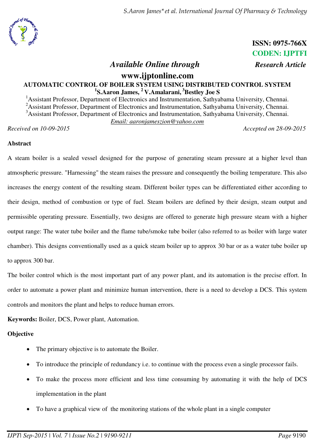

 **ISSN: 0975-766X CODEN: IJPTFI** 

## *Available Online through Research Article*

## **www.ijptonline.com AUTOMATIC CONTROL OF BOILER SYSTEM USING DISTRIBUTED CONTROL SYSTEM 1 S.Aaron James, <sup>2</sup>V.Amalarani,<sup>3</sup>Bestley Joe S**

<sup>1</sup>Assistant Professor, Department of Electronics and Instrumentation, Sathyabama University, Chennai. <sup>2</sup>Assistant Professor, Department of Electronics and Instrumentation, Sathyabama University, Chennai. <sup>3</sup>Assistant Professor, Department of Electronics and Instrumentation, Sathyabama University, Chennai. *Email: aaronjameszion@yahoo.com* 

*Received on 10-09-2015 Accepted on 28-09-2015*

#### **Abstract**

A steam boiler is a sealed vessel designed for the purpose of generating steam pressure at a higher level than atmospheric pressure. "Harnessing" the steam raises the pressure and consequently the boiling temperature. This also increases the energy content of the resulting steam. Different boiler types can be differentiated either according to their design, method of combustion or type of fuel. Steam boilers are defined by their design, steam output and permissible operating pressure. Essentially, two designs are offered to generate high pressure steam with a higher output range: The water tube boiler and the flame tube/smoke tube boiler (also referred to as boiler with large water chamber). This designs conventionally used as a quick steam boiler up to approx 30 bar or as a water tube boiler up to approx 300 bar.

The boiler control which is the most important part of any power plant, and its automation is the precise effort. In order to automate a power plant and minimize human intervention, there is a need to develop a DCS. This system controls and monitors the plant and helps to reduce human errors.

**Keywords:** Boiler, DCS, Power plant, Automation.

## **Objective**

- The primary objective is to automate the Boiler.
- To introduce the principle of redundancy i.e. to continue with the process even a single processor fails.
- To make the process more efficient and less time consuming by automating it with the help of DCS implementation in the plant
- To have a graphical view of the monitoring stations of the whole plant in a single computer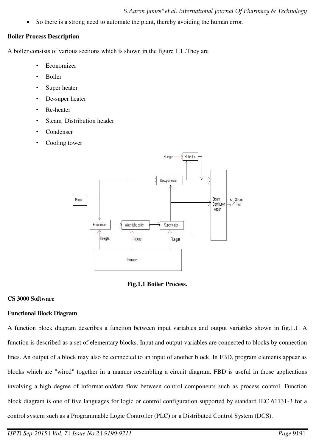So there is a strong need to automate the plant, thereby avoiding the human error.

#### **Boiler Process Description**

A boiler consists of various sections which is shown in the figure 1.1 .They are

- **Economizer**
- Boiler
- Super heater
- De-super heater
- Re-heater
- Steam Distribution header
- **Condenser**
- Cooling tower





## **CS 3000 Software**

# **Functional Block Diagram**

A function block diagram describes a function between input variables and output variables shown in fig.1.1. A function is described as a set of elementary blocks. Input and output variables are connected to blocks by connection lines. An output of a block may also be connected to an input of another block. In FBD, program elements appear as blocks which are "wired" together in a manner resembling a circuit diagram. FBD is useful in those applications involving a high degree of information/data flow between control components such as process control. Function block diagram is one of five languages for logic or control configuration supported by standard IEC 61131-3 for a control system such as a Programmable Logic Controller (PLC) or a Distributed Control System (DCS).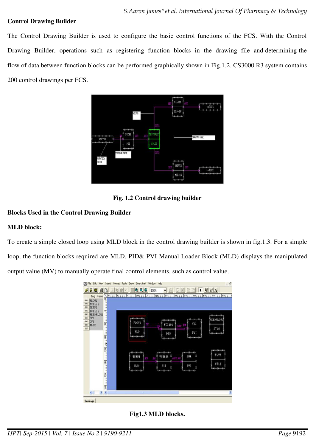## **Control Drawing Builder**

The Control Drawing Builder is used to configure the basic control functions of the FCS. With the Control Drawing Builder, operations such as registering function blocks in the drawing file and determining the flow of data between function blocks can be performed graphically shown in Fig.1.2. CS3000 R3 system contains 200 control drawings per FCS.



**Fig. 1.2 Control drawing builder**

## **Blocks Used in the Control Drawing Builder**

#### **MLD block:**

To create a simple closed loop using MLD block in the control drawing builder is shown in fig.1.3. For a simple loop, the function blocks required are MLD, PID& PVI Manual Loader Block (MLD) displays the manipulated output value (MV) to manually operate final control elements, such as control value.



**Fig1.3 MLD blocks.**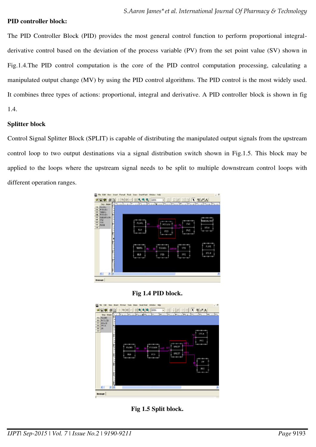#### **PID controller block:**

The PID Controller Block (PID) provides the most general control function to perform proportional integralderivative control based on the deviation of the process variable (PV) from the set point value (SV) shown in Fig.1.4.The PID control computation is the core of the PID control computation processing, calculating a manipulated output change (MV) by using the PID control algorithms. The PID control is the most widely used. It combines three types of actions: proportional, integral and derivative. A PID controller block is shown in fig 1.4.

#### **Splitter block**

Control Signal Splitter Block (SPLIT) is capable of distributing the manipulated output signals from the upstream control loop to two output destinations via a signal distribution switch shown in Fig.1.5. This block may be applied to the loops where the upstream signal needs to be split to multiple downstream control loops with different operation ranges.



## **Fig 1.4 PID block.**



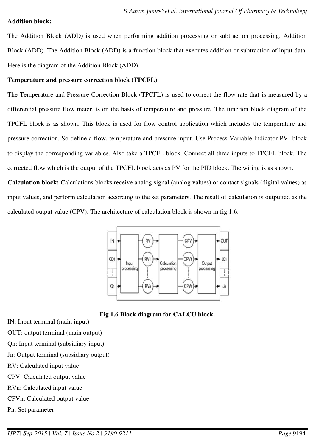#### **Addition block:**

The Addition Block (ADD) is used when performing addition processing or subtraction processing. Addition Block (ADD). The Addition Block (ADD) is a function block that executes addition or subtraction of input data. Here is the diagram of the Addition Block (ADD).

#### **Temperature and pressure correction block (TPCFL)**

The Temperature and Pressure Correction Block (TPCFL) is used to correct the flow rate that is measured by a differential pressure flow meter. is on the basis of temperature and pressure. The function block diagram of the TPCFL block is as shown. This block is used for flow control application which includes the temperature and pressure correction. So define a flow, temperature and pressure input. Use Process Variable Indicator PVI block to display the corresponding variables. Also take a TPCFL block. Connect all three inputs to TPCFL block. The corrected flow which is the output of the TPCFL block acts as PV for the PID block. The wiring is as shown.

**Calculation block:** Calculations blocks receive analog signal (analog values) or contact signals (digital values) as input values, and perform calculation according to the set parameters. The result of calculation is outputted as the calculated output value (CPV). The architecture of calculation block is shown in fig 1.6.



**Fig 1.6 Block diagram for CALCU block.** 

- IN: Input terminal (main input)
- OUT: output terminal (main output)
- Qn: Input terminal (subsidiary input)
- Jn: Output terminal (subsidiary output)
- RV: Calculated input value
- CPV: Calculated output value
- RVn: Calculated input value
- CPVn: Calculated output value
- Pn: Set parameter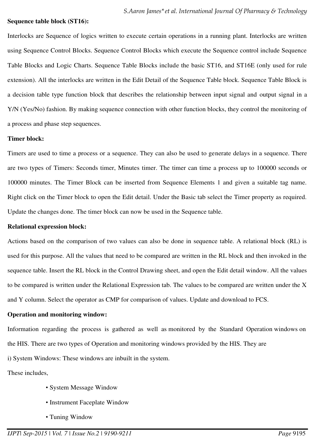#### **Sequence table block (ST16):**

Interlocks are Sequence of logics written to execute certain operations in a running plant. Interlocks are written using Sequence Control Blocks. Sequence Control Blocks which execute the Sequence control include Sequence Table Blocks and Logic Charts. Sequence Table Blocks include the basic ST16, and ST16E (only used for rule extension). All the interlocks are written in the Edit Detail of the Sequence Table block. Sequence Table Block is a decision table type function block that describes the relationship between input signal and output signal in a Y/N (Yes/No) fashion. By making sequence connection with other function blocks, they control the monitoring of a process and phase step sequences.

#### **Timer block:**

Timers are used to time a process or a sequence. They can also be used to generate delays in a sequence. There are two types of Timers: Seconds timer, Minutes timer. The timer can time a process up to 100000 seconds or 100000 minutes. The Timer Block can be inserted from Sequence Elements 1 and given a suitable tag name. Right click on the Timer block to open the Edit detail. Under the Basic tab select the Timer property as required. Update the changes done. The timer block can now be used in the Sequence table.

#### **Relational expression block:**

Actions based on the comparison of two values can also be done in sequence table. A relational block (RL) is used for this purpose. All the values that need to be compared are written in the RL block and then invoked in the sequence table. Insert the RL block in the Control Drawing sheet, and open the Edit detail window. All the values to be compared is written under the Relational Expression tab. The values to be compared are written under the X and Y column. Select the operator as CMP for comparison of values. Update and download to FCS.

#### **Operation and monitoring window:**

Information regarding the process is gathered as well as monitored by the Standard Operation windows on the HIS. There are two types of Operation and monitoring windows provided by the HIS. They are

i) System Windows: These windows are inbuilt in the system.

These includes,

- System Message Window
- Instrument Faceplate Window
- Tuning Window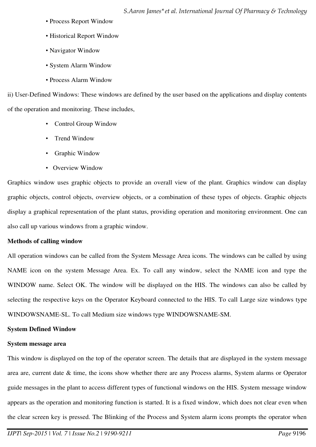- Process Report Window
- Historical Report Window
- Navigator Window
- System Alarm Window
- Process Alarm Window

ii) User-Defined Windows: These windows are defined by the user based on the applications and display contents of the operation and monitoring. These includes,

- Control Group Window
- Trend Window
- Graphic Window
- Overview Window

Graphics window uses graphic objects to provide an overall view of the plant. Graphics window can display graphic objects, control objects, overview objects, or a combination of these types of objects. Graphic objects display a graphical representation of the plant status, providing operation and monitoring environment. One can also call up various windows from a graphic window.

## **Methods of calling window**

All operation windows can be called from the System Message Area icons. The windows can be called by using NAME icon on the system Message Area. Ex. To call any window, select the NAME icon and type the WINDOW name. Select OK. The window will be displayed on the HIS. The windows can also be called by selecting the respective keys on the Operator Keyboard connected to the HIS. To call Large size windows type WINDOWSNAME-SL. To call Medium size windows type WINDOWSNAME-SM.

## **System Defined Window**

## **System message area**

This window is displayed on the top of the operator screen. The details that are displayed in the system message area are, current date & time, the icons show whether there are any Process alarms, System alarms or Operator guide messages in the plant to access different types of functional windows on the HIS. System message window appears as the operation and monitoring function is started. It is a fixed window, which does not clear even when the clear screen key is pressed. The Blinking of the Process and System alarm icons prompts the operator when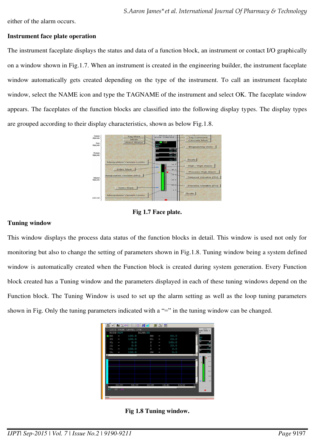either of the alarm occurs.

#### **Instrument face plate operation**

The instrument faceplate displays the status and data of a function block, an instrument or contact I/O graphically on a window shown in Fig.1.7. When an instrument is created in the engineering builder, the instrument faceplate window automatically gets created depending on the type of the instrument. To call an instrument faceplate window, select the NAME icon and type the TAGNAME of the instrument and select OK. The faceplate window appears. The faceplates of the function blocks are classified into the following display types. The display types are grouped according to their display characteristics, shown as below Fig.1.8.



**Fig 1.7 Face plate.** 

#### **Tuning window**

This window displays the process data status of the function blocks in detail. This window is used not only for monitoring but also to change the setting of parameters shown in Fig.1.8. Tuning window being a system defined window is automatically created when the Function block is created during system generation. Every Function block created has a Tuning window and the parameters displayed in each of these tuning windows depend on the Function block. The Tuning Window is used to set up the alarm setting as well as the loop tuning parameters shown in Fig. Only the tuning parameters indicated with a "=" in the tuning window can be changed.



**Fig 1.8 Tuning window.**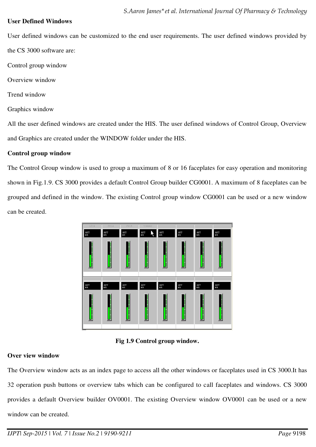## **User Defined Windows**

User defined windows can be customized to the end user requirements. The user defined windows provided by the CS 3000 software are:

- Control group window
- Overview window
- Trend window
- Graphics window

All the user defined windows are created under the HIS. The user defined windows of Control Group, Overview and Graphics are created under the WINDOW folder under the HIS.

## **Control group window**

The Control Group window is used to group a maximum of 8 or 16 faceplates for easy operation and monitoring shown in Fig.1.9. CS 3000 provides a default Control Group builder CG0001. A maximum of 8 faceplates can be grouped and defined in the window. The existing Control group window CG0001 can be used or a new window can be created.



**Fig 1.9 Control group window.** 

## **Over view window**

The Overview window acts as an index page to access all the other windows or faceplates used in CS 3000.It has 32 operation push buttons or overview tabs which can be configured to call faceplates and windows. CS 3000 provides a default Overview builder OV0001. The existing Overview window OV0001 can be used or a new window can be created.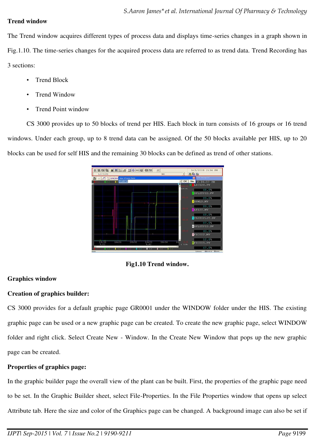#### **Trend window**

The Trend window acquires different types of process data and displays time-series changes in a graph shown in Fig.1.10. The time-series changes for the acquired process data are referred to as trend data. Trend Recording has 3 sections:

- Trend Block
- Trend Window
- Trend Point window

CS 3000 provides up to 50 blocks of trend per HIS. Each block in turn consists of 16 groups or 16 trend windows. Under each group, up to 8 trend data can be assigned. Of the 50 blocks available per HIS, up to 20 blocks can be used for self HIS and the remaining 30 blocks can be defined as trend of other stations.

| LIC120                                                      |                    |       |       | NR    | 니         | $-0.05 - 0.0$              |
|-------------------------------------------------------------|--------------------|-------|-------|-------|-----------|----------------------------|
| All Colleges of the state of the collection of the state of |                    |       |       |       |           | ×                          |
| h.no.c                                                      | <b>Exce TG0514</b> |       |       |       | OK        | Stn<br>2:34:57 PM          |
|                                                             |                    |       |       |       |           | <b>LIC120.PV</b>           |
|                                                             |                    |       |       |       | (100, 01) | 68.08                      |
|                                                             |                    |       |       |       |           | SPLITPID.PV                |
|                                                             |                    |       |       |       |           | 89.0%                      |
|                                                             |                    |       |       |       |           | SPMLD.MV                   |
|                                                             |                    |       |       |       |           | 89.03                      |
|                                                             |                    |       |       |       |           | LT120.MV                   |
|                                                             |                    |       |       |       |           | 68.08                      |
|                                                             |                    |       |       |       |           | TESTSPLIT.SV               |
|                                                             |                    |       |       |       |           | 87.0%                      |
|                                                             |                    |       |       |       |           | <b>CSPLITPID.SV</b>        |
|                                                             |                    |       | 2 P   |       |           | 43.05                      |
|                                                             |                    |       |       |       |           | FIC002.MV                  |
|                                                             |                    |       |       |       |           |                            |
| 13<br>14:30                                                 | <b>TAT JT</b>      | 14:32 | 14131 | 14134 | 14        | 12.03<br><b>BFIC005.PV</b> |
| 9.02                                                        |                    |       | 9.02  |       | $(-0.01)$ |                            |

## **Fig1.10 Trend window.**

## **Graphics window**

## **Creation of graphics builder:**

CS 3000 provides for a default graphic page GR0001 under the WINDOW folder under the HIS. The existing graphic page can be used or a new graphic page can be created. To create the new graphic page, select WINDOW folder and right click. Select Create New - Window. In the Create New Window that pops up the new graphic page can be created.

## **Properties of graphics page:**

In the graphic builder page the overall view of the plant can be built. First, the properties of the graphic page need to be set. In the Graphic Builder sheet, select File-Properties. In the File Properties window that opens up select Attribute tab. Here the size and color of the Graphics page can be changed. A background image can also be set if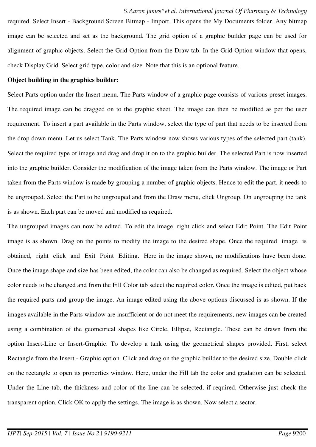required. Select Insert - Background Screen Bitmap - Import. This opens the My Documents folder. Any bitmap image can be selected and set as the background. The grid option of a graphic builder page can be used for alignment of graphic objects. Select the Grid Option from the Draw tab. In the Grid Option window that opens, check Display Grid. Select grid type, color and size. Note that this is an optional feature.

#### **Object building in the graphics builder:**

Select Parts option under the Insert menu. The Parts window of a graphic page consists of various preset images. The required image can be dragged on to the graphic sheet. The image can then be modified as per the user requirement. To insert a part available in the Parts window, select the type of part that needs to be inserted from the drop down menu. Let us select Tank. The Parts window now shows various types of the selected part (tank). Select the required type of image and drag and drop it on to the graphic builder. The selected Part is now inserted into the graphic builder. Consider the modification of the image taken from the Parts window. The image or Part taken from the Parts window is made by grouping a number of graphic objects. Hence to edit the part, it needs to be ungrouped. Select the Part to be ungrouped and from the Draw menu, click Ungroup. On ungrouping the tank is as shown. Each part can be moved and modified as required.

The ungrouped images can now be edited. To edit the image, right click and select Edit Point. The Edit Point image is as shown. Drag on the points to modify the image to the desired shape. Once the required image is obtained, right click and Exit Point Editing. Here in the image shown, no modifications have been done. Once the image shape and size has been edited, the color can also be changed as required. Select the object whose color needs to be changed and from the Fill Color tab select the required color. Once the image is edited, put back the required parts and group the image. An image edited using the above options discussed is as shown. If the images available in the Parts window are insufficient or do not meet the requirements, new images can be created using a combination of the geometrical shapes like Circle, Ellipse, Rectangle. These can be drawn from the option Insert-Line or Insert-Graphic. To develop a tank using the geometrical shapes provided. First, select Rectangle from the Insert - Graphic option. Click and drag on the graphic builder to the desired size. Double click on the rectangle to open its properties window. Here, under the Fill tab the color and gradation can be selected. Under the Line tab, the thickness and color of the line can be selected, if required. Otherwise just check the transparent option. Click OK to apply the settings. The image is as shown. Now select a sector.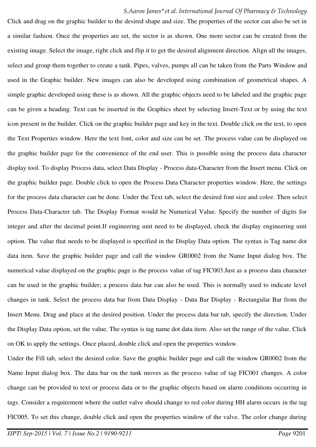Click and drag on the graphic builder to the desired shape and size. The properties of the sector can also be set in a similar fashion. Once the properties are set, the sector is as shown. One more sector can be created from the existing image. Select the image, right click and flip it to get the desired alignment direction. Align all the images, select and group them together to create a tank. Pipes, valves, pumps all can be taken from the Parts Window and used in the Graphic builder. New images can also be developed using combination of geometrical shapes. A simple graphic developed using these is as shown. All the graphic objects need to be labeled and the graphic page can be given a heading. Text can be inserted in the Graphics sheet by selecting Insert-Text or by using the text icon present in the builder. Click on the graphic builder page and key in the text. Double click on the text, to open the Text Properties window. Here the text font, color and size can be set. The process value can be displayed on the graphic builder page for the convenience of the end user. This is possible using the process data character display tool. To display Process data, select Data Display - Process data-Character from the Insert menu. Click on the graphic builder page. Double click to open the Process Data Character properties window. Here, the settings for the process data character can be done. Under the Text tab, select the desired font size and color. Then select Process Data-Character tab. The Display Format would be Numerical Value. Specify the number of digits for integer and after the decimal point.If engineering unit need to be displayed, check the display engineering unit option. The value that needs to be displayed is specified in the Display Data option. The syntax is Tag name dot data item. Save the graphic builder page and call the window GR0002 from the Name Input dialog box. The numerical value displayed on the graphic page is the process value of tag FIC003.Just as a process data character can be used in the graphic builder; a process data bar can also be used. This is normally used to indicate level changes in tank. Select the process data bar from Data Display - Data Bar Display - Rectangular Bar from the Insert Menu. Drag and place at the desired position. Under the process data bar tab, specify the direction. Under the Display Data option, set the value. The syntax is tag name dot data item. Also set the range of the value. Click on OK to apply the settings. Once placed, double click and open the properties window.

Under the Fill tab, select the desired color. Save the graphic builder page and call the window GR0002 from the Name Input dialog box. The data bar on the tank moves as the process value of tag FIC001 changes. A color change can be provided to text or process data or to the graphic objects based on alarm conditions occurring in tags. Consider a requirement where the outlet valve should change to red color during HH alarm occurs in the tag FIC005. To set this change, double click and open the properties window of the valve. The color change during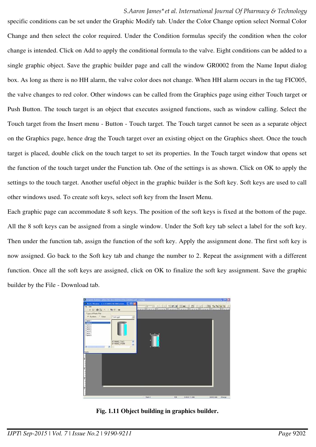specific conditions can be set under the Graphic Modify tab. Under the Color Change option select Normal Color Change and then select the color required. Under the Condition formulas specify the condition when the color change is intended. Click on Add to apply the conditional formula to the valve. Eight conditions can be added to a single graphic object. Save the graphic builder page and call the window GR0002 from the Name Input dialog box. As long as there is no HH alarm, the valve color does not change. When HH alarm occurs in the tag FIC005, the valve changes to red color. Other windows can be called from the Graphics page using either Touch target or Push Button. The touch target is an object that executes assigned functions, such as window calling. Select the Touch target from the Insert menu - Button - Touch target. The Touch target cannot be seen as a separate object on the Graphics page, hence drag the Touch target over an existing object on the Graphics sheet. Once the touch target is placed, double click on the touch target to set its properties. In the Touch target window that opens set the function of the touch target under the Function tab. One of the settings is as shown. Click on OK to apply the settings to the touch target. Another useful object in the graphic builder is the Soft key. Soft keys are used to call other windows used. To create soft keys, select soft key from the Insert Menu.

Each graphic page can accommodate 8 soft keys. The position of the soft keys is fixed at the bottom of the page. All the 8 soft keys can be assigned from a single window. Under the Soft key tab select a label for the soft key. Then under the function tab, assign the function of the soft key. Apply the assignment done. The first soft key is now assigned. Go back to the Soft key tab and change the number to 2. Repeat the assignment with a different function. Once all the soft keys are assigned, click on OK to finalize the soft key assignment. Save the graphic builder by the File - Download tab.

| C. Graphic Robber - LP.D. TRG Stri HISOSNAFTHe GROOM add - 1759(1)                                                  |                                                                                                                     |                                  | $-0K$                         |
|---------------------------------------------------------------------------------------------------------------------|---------------------------------------------------------------------------------------------------------------------|----------------------------------|-------------------------------|
| <sup>20</sup> Parts Window CACS3000/LNG\INGystem [ [C] [K]<br>File Edit<br><b>CONFIDERATION</b> CALL PARTICULAR     | procedure and the company of the company of the company of the company of the company of the company of the company | 고드 고 미시아 행성당 패배터 그 호텔 데데 어어어어서 ^ |                               |
| Type of Parts File<br>W System C User<br>T ank got<br>그<br><b>Lenia</b>                                             |                                                                                                                     |                                  |                               |
| Tank 3<br>Tank 4<br>Tank 5<br>Tank 6<br>Tank 7<br>Tank 8<br><b>BYANKE_TAG</b><br>×<br><b>BTANKE ITEM</b><br>M.<br>н |                                                                                                                     |                                  |                               |
| fissafy<br>h<br>h<br>h                                                                                              |                                                                                                                     |                                  |                               |
| h                                                                                                                   | 7442                                                                                                                | <b>Y/t</b><br>910015 V1086       | (9934 Y.686)<br><b>Chenge</b> |

**Fig. 1.11 Object building in graphics builder.**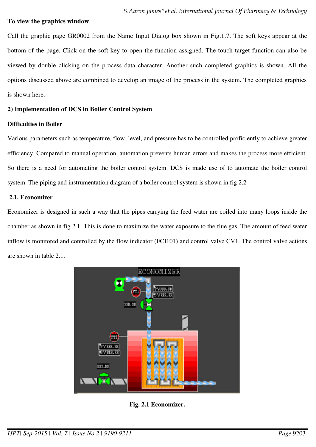#### **To view the graphics window**

Call the graphic page GR0002 from the Name Input Dialog box shown in Fig.1.7. The soft keys appear at the bottom of the page. Click on the soft key to open the function assigned. The touch target function can also be viewed by double clicking on the process data character. Another such completed graphics is shown. All the options discussed above are combined to develop an image of the process in the system. The completed graphics is shown here.

## **2) Implementation of DCS in Boiler Control System**

#### **Difficulties in Boiler**

Various parameters such as temperature, flow, level, and pressure has to be controlled proficiently to achieve greater efficiency. Compared to manual operation, automation prevents human errors and makes the process more efficient. So there is a need for automating the boiler control system. DCS is made use of to automate the boiler control system. The piping and instrumentation diagram of a boiler control system is shown in fig 2.2

#### **2.1. Economizer**

Economizer is designed in such a way that the pipes carrying the feed water are coiled into many loops inside the chamber as shown in fig 2.1. This is done to maximize the water exposure to the flue gas. The amount of feed water inflow is monitored and controlled by the flow indicator (FCI101) and control valve CV1. The control valve actions are shown in table 2.1.



**Fig. 2.1 Economizer.**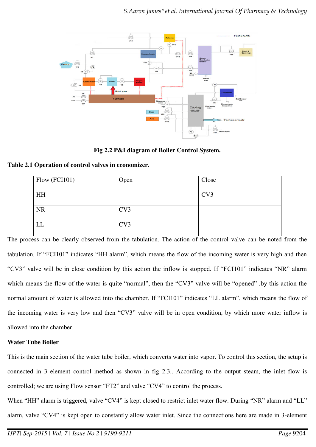

**Fig 2.2 P&I diagram of Boiler Control System.**

# **Table 2.1 Operation of control valves in economizer.**

| Flow (FCI101) | Open | Close           |
|---------------|------|-----------------|
|               |      |                 |
|               |      |                 |
| HH            |      | CV <sub>3</sub> |
|               |      |                 |
|               |      |                 |
| <b>NR</b>     | CV3  |                 |
|               |      |                 |
|               |      |                 |
| LL            | CV3  |                 |
|               |      |                 |

The process can be clearly observed from the tabulation. The action of the control valve can be noted from the tabulation. If "FCI101" indicates "HH alarm", which means the flow of the incoming water is very high and then "CV3" valve will be in close condition by this action the inflow is stopped. If "FCI101" indicates "NR" alarm which means the flow of the water is quite "normal", then the "CV3" valve will be "opened" .by this action the normal amount of water is allowed into the chamber. If "FCI101" indicates "LL alarm", which means the flow of the incoming water is very low and then "CV3" valve will be in open condition, by which more water inflow is allowed into the chamber.

# **Water Tube Boiler**

This is the main section of the water tube boiler, which converts water into vapor. To control this section, the setup is connected in 3 element control method as shown in fig 2.3.. According to the output steam, the inlet flow is controlled; we are using Flow sensor "FT2" and valve "CV4" to control the process.

When "HH" alarm is triggered, valve "CV4" is kept closed to restrict inlet water flow. During "NR" alarm and "LL" alarm, valve "CV4" is kept open to constantly allow water inlet. Since the connections here are made in 3-element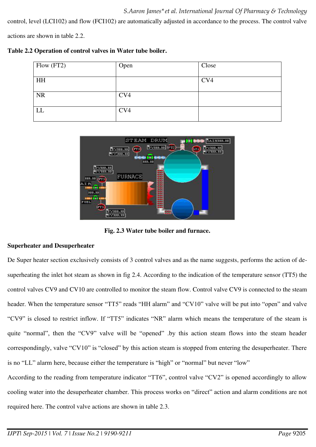control, level (LCI102) and flow (FCI102) are automatically adjusted in accordance to the process. The control valve

actions are shown in table 2.2.

|  |  |  |  |  | Table 2.2 Operation of control valves in Water tube boiler. |
|--|--|--|--|--|-------------------------------------------------------------|
|--|--|--|--|--|-------------------------------------------------------------|

| Flow (FT2) | Open | Close |
|------------|------|-------|
| HH         |      | CV4   |
| <b>NR</b>  | CV4  |       |
| LL         | CV4  |       |



**Fig. 2.3 Water tube boiler and furnace.** 

## **Superheater and Desuperheater**

De Super heater section exclusively consists of 3 control valves and as the name suggests, performs the action of desuperheating the inlet hot steam as shown in fig 2.4. According to the indication of the temperature sensor (TT5) the control valves CV9 and CV10 are controlled to monitor the steam flow. Control valve CV9 is connected to the steam header. When the temperature sensor "TT5" reads "HH alarm" and "CV10" valve will be put into "open" and valve "CV9" is closed to restrict inflow. If "TT5" indicates "NR" alarm which means the temperature of the steam is quite "normal", then the "CV9" valve will be "opened" .by this action steam flows into the steam header correspondingly, valve "CV10" is "closed" by this action steam is stopped from entering the desuperheater. There is no "LL" alarm here, because either the temperature is "high" or "normal" but never "low"

According to the reading from temperature indicator "TT6", control valve "CV2" is opened accordingly to allow cooling water into the desuperheater chamber. This process works on "direct" action and alarm conditions are not required here. The control valve actions are shown in table 2.3.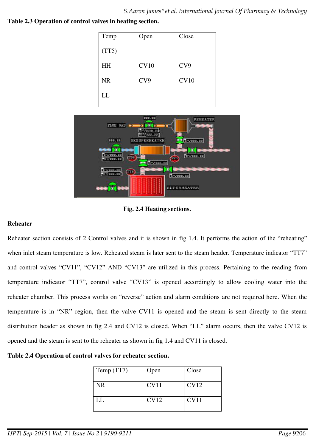**Table 2.3 Operation of control valves in heating section.** 

| Temp      | Open | Close       |
|-----------|------|-------------|
|           |      |             |
| (TT5)     |      |             |
|           |      |             |
| <b>HH</b> | CV10 | CV9         |
|           |      |             |
| <b>NR</b> | CV9  | <b>CV10</b> |
|           |      |             |
| LL        |      |             |
|           |      |             |



**Fig. 2.4 Heating sections.** 

## **Reheater**

Reheater section consists of 2 Control valves and it is shown in fig 1.4. It performs the action of the "reheating" when inlet steam temperature is low. Reheated steam is later sent to the steam header. Temperature indicator "TT7" and control valves "CV11", "CV12" AND "CV13" are utilized in this process. Pertaining to the reading from temperature indicator "TT7", control valve "CV13" is opened accordingly to allow cooling water into the reheater chamber. This process works on "reverse" action and alarm conditions are not required here. When the temperature is in "NR" region, then the valve CV11 is opened and the steam is sent directly to the steam distribution header as shown in fig 2.4 and CV12 is closed. When "LL" alarm occurs, then the valve CV12 is opened and the steam is sent to the reheater as shown in fig 1.4 and CV11 is closed.

**Table 2.4 Operation of control valves for reheater section.** 

| Temp (TT7) | Open        | Close       |
|------------|-------------|-------------|
| NR.        | CV11        | <b>CV12</b> |
| LL.        | <b>CV12</b> | CV11        |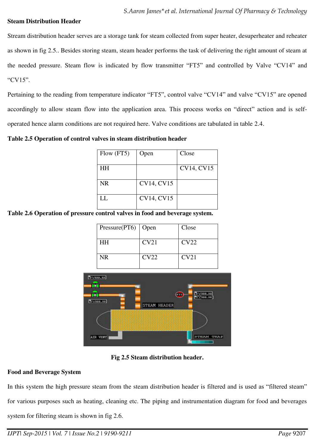#### **Steam Distribution Header**

Stream distribution header serves are a storage tank for steam collected from super heater, desuperheater and reheater as shown in fig 2.5.. Besides storing steam, steam header performs the task of delivering the right amount of steam at the needed pressure. Steam flow is indicated by flow transmitter "FT5" and controlled by Valve "CV14" and "CV15".

Pertaining to the reading from temperature indicator "FT5", control valve "CV14" and valve "CV15" are opened accordingly to allow steam flow into the application area. This process works on "direct" action and is selfoperated hence alarm conditions are not required here. Valve conditions are tabulated in table 2.4.

**Table 2.5 Operation of control valves in steam distribution header** 

| Flow (FT5) | Open              | Close      |
|------------|-------------------|------------|
| <b>HH</b>  |                   | CV14, CV15 |
| <b>NR</b>  | <b>CV14, CV15</b> |            |
| LL         | <b>CV14, CV15</b> |            |

**Table 2.6 Operation of pressure control valves in food and beverage system.** 

| Pressure(PT6)   Open |      | Close |
|----------------------|------|-------|
| <b>HH</b>            | CV21 | CV22  |
| NR                   | CV22 | CV21  |



**Fig 2.5 Steam distribution header.**

## **Food and Beverage System**

In this system the high pressure steam from the steam distribution header is filtered and is used as "filtered steam" for various purposes such as heating, cleaning etc. The piping and instrumentation diagram for food and beverages system for filtering steam is shown in fig 2.6.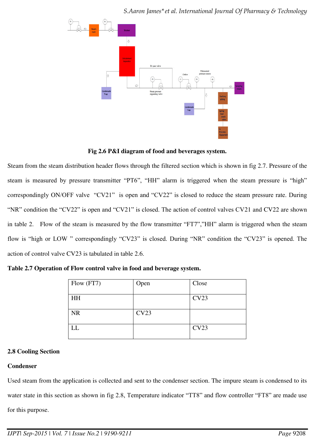

**Fig 2.6 P&I diagram of food and beverages system.**

Steam from the steam distribution header flows through the filtered section which is shown in fig 2.7. Pressure of the steam is measured by pressure transmitter "PT6", "HH" alarm is triggered when the steam pressure is "high" correspondingly ON/OFF valve "CV21" is open and "CV22" is closed to reduce the steam pressure rate. During "NR" condition the "CV22" is open and "CV21" is closed. The action of control valves CV21 and CV22 are shown in table 2. Flow of the steam is measured by the flow transmitter "FT7","HH" alarm is triggered when the steam flow is "high or LOW " correspondingly "CV23" is closed. During "NR" condition the "CV23" is opened. The action of control valve CV23 is tabulated in table 2.6.

| Flow (FT7)             | Open | Close |
|------------------------|------|-------|
| <b>HH</b>              |      | CV23  |
| <b>NR</b>              | CV23 |       |
| $\overline{\text{LL}}$ |      | CV23  |

| Table 2.7 Operation of Flow control valve in food and beverage system. |
|------------------------------------------------------------------------|
|------------------------------------------------------------------------|

# **2.8 Cooling Section**

# **Condenser**

Used steam from the application is collected and sent to the condenser section. The impure steam is condensed to its water state in this section as shown in fig 2.8, Temperature indicator "TT8" and flow controller "FT8" are made use for this purpose.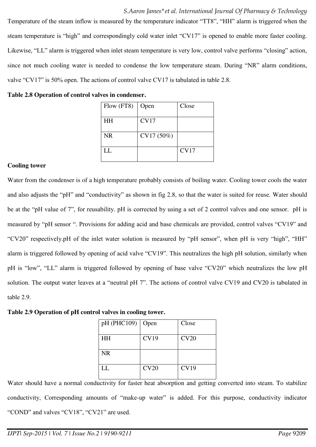Temperature of the steam inflow is measured by the temperature indicator "TT8", "HH" alarm is triggered when the steam temperature is "high" and correspondingly cold water inlet "CV17" is opened to enable more faster cooling. Likewise, "LL" alarm is triggered when inlet steam temperature is very low, control valve performs "closing" action, since not much cooling water is needed to condense the low temperature steam. During "NR" alarm conditions, valve "CV17" is 50% open. The actions of control valve CV17 is tabulated in table 2.8.

|  |  |  | Table 2.8 Operation of control valves in condenser. |
|--|--|--|-----------------------------------------------------|
|  |  |  |                                                     |

| Flow (FT8) | Open        | Close |
|------------|-------------|-------|
| <b>HH</b>  | <b>CV17</b> |       |
| <b>NR</b>  | CV17 (50%)  |       |
| LL         |             | CV17  |

## **Cooling tower**

Water from the condenser is of a high temperature probably consists of boiling water. Cooling tower cools the water and also adjusts the "pH" and "conductivity" as shown in fig 2.8, so that the water is suited for reuse. Water should be at the "pH value of 7", for reusability. pH is corrected by using a set of 2 control valves and one sensor. pH is measured by "pH sensor ". Provisions for adding acid and base chemicals are provided, control valves "CV19" and "CV20" respectively.pH of the inlet water solution is measured by "pH sensor", when pH is very "high", "HH" alarm is triggered followed by opening of acid valve "CV19". This neutralizes the high pH solution, similarly when pH is "low", "LL" alarm is triggered followed by opening of base valve "CV20" which neutralizes the low pH solution. The output water leaves at a "neutral pH 7". The actions of control valve CV19 and CV20 is tabulated in table 2.9.

**Table 2.9 Operation of pH control valves in cooling tower.** 

| pH (PHC109) | Open        | Close       |
|-------------|-------------|-------------|
| <b>HH</b>   | <b>CV19</b> | CV20        |
| <b>NR</b>   |             |             |
| LL          | CV20        | <b>CV19</b> |

Water should have a normal conductivity for faster heat absorption and getting converted into steam. To stabilize conductivity, Corresponding amounts of "make-up water" is added. For this purpose, conductivity indicator "COND" and valves "CV18", "CV21" are used.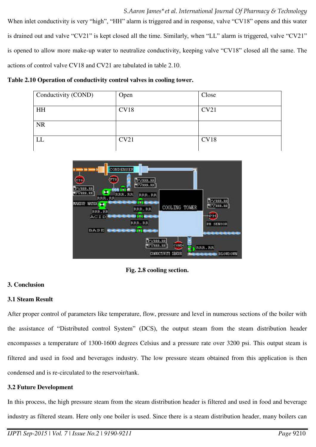When inlet conductivity is very "high", "HH" alarm is triggered and in response, valve "CV18" opens and this water is drained out and valve "CV21" is kept closed all the time. Similarly, when "LL" alarm is triggered, valve "CV21" is opened to allow more make-up water to neutralize conductivity, keeping valve "CV18" closed all the same. The actions of control valve CV18 and CV21 are tabulated in table 2.10.

#### **Table 2.10 Operation of conductivity control valves in cooling tower.**

| Conductivity (COND) | Open | Close |
|---------------------|------|-------|
| HH                  | CV18 | CV21  |
| <b>NR</b>           |      |       |
| LL                  | CV21 | CV18  |



**Fig. 2.8 cooling section.** 

## **3. Conclusion**

## **3.1 Steam Result**

After proper control of parameters like temperature, flow, pressure and level in numerous sections of the boiler with the assistance of "Distributed control System" (DCS), the output steam from the steam distribution header encompasses a temperature of 1300-1600 degrees Celsius and a pressure rate over 3200 psi. This output steam is filtered and used in food and beverages industry. The low pressure steam obtained from this application is then condensed and is re-circulated to the reservoir/tank.

## **3.2 Future Development**

In this process, the high pressure steam from the steam distribution header is filtered and used in food and beverage industry as filtered steam. Here only one boiler is used. Since there is a steam distribution header, many boilers can